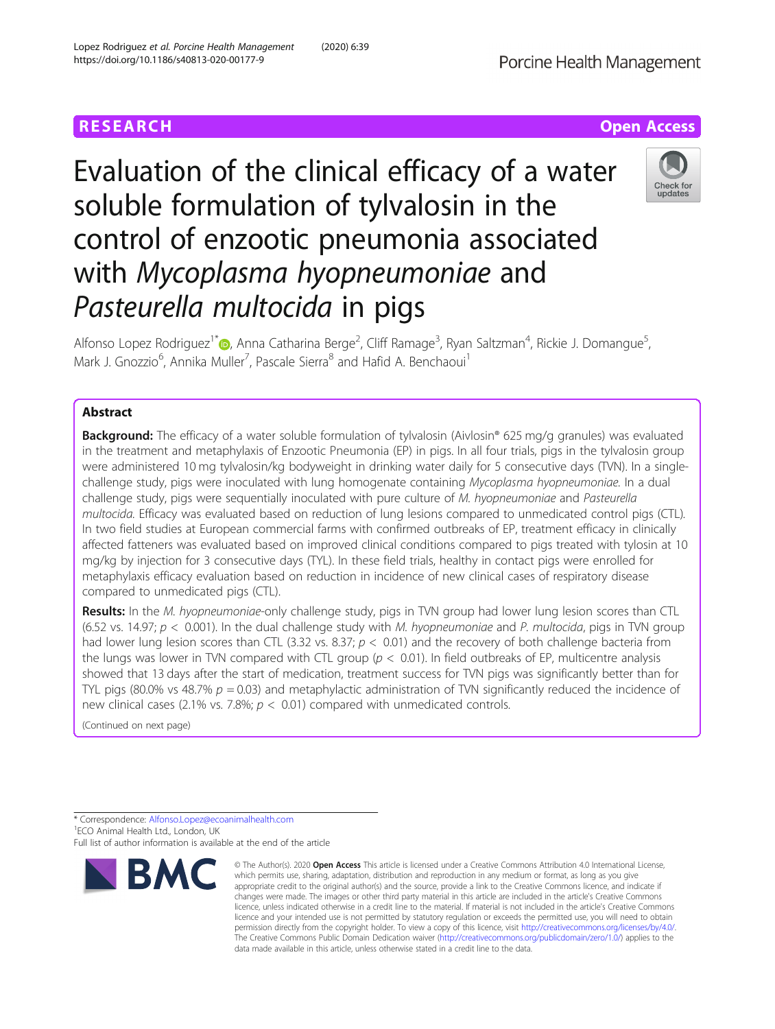# **RESEARCH CHE Open Access**

# Evaluation of the clinical efficacy of a water soluble formulation of tylvalosin in the control of enzootic pneumonia associated with Mycoplasma hyopneumoniae and Pasteurella multocida in pigs



Alfonso Lopez Rodriguez<sup>1[\\*](http://orcid.org/0000-0001-5500-1551)</sup>®, Anna Catharina Berge<sup>2</sup>, Cliff Ramage<sup>3</sup>, Ryan Saltzman<sup>4</sup>, Rickie J. Domangue<sup>5</sup> , Mark J. Gnozzio<sup>6</sup>, Annika Muller<sup>7</sup>, Pascale Sierra<sup>8</sup> and Hafid A. Benchaoui<sup>1</sup>

## Abstract

**Background:** The efficacy of a water soluble formulation of tylvalosin (Aivlosin® 625 mg/g granules) was evaluated in the treatment and metaphylaxis of Enzootic Pneumonia (EP) in pigs. In all four trials, pigs in the tylvalosin group were administered 10 mg tylvalosin/kg bodyweight in drinking water daily for 5 consecutive days (TVN). In a singlechallenge study, pigs were inoculated with lung homogenate containing Mycoplasma hyopneumoniae. In a dual challenge study, pigs were sequentially inoculated with pure culture of M. hyopneumoniae and Pasteurella multocida. Efficacy was evaluated based on reduction of lung lesions compared to unmedicated control pigs (CTL). In two field studies at European commercial farms with confirmed outbreaks of EP, treatment efficacy in clinically affected fatteners was evaluated based on improved clinical conditions compared to pigs treated with tylosin at 10 mg/kg by injection for 3 consecutive days (TYL). In these field trials, healthy in contact pigs were enrolled for metaphylaxis efficacy evaluation based on reduction in incidence of new clinical cases of respiratory disease compared to unmedicated pigs (CTL).

Results: In the M. hyopneumoniae-only challenge study, pigs in TVN group had lower lung lesion scores than CTL (6.52 vs. 14.97;  $p < 0.001$ ). In the dual challenge study with M. hyopneumoniae and P. multocida, pigs in TVN group had lower lung lesion scores than CTL (3.32 vs. 8.37;  $p < 0.01$ ) and the recovery of both challenge bacteria from the lungs was lower in TVN compared with CTL group ( $p < 0.01$ ). In field outbreaks of EP, multicentre analysis showed that 13 days after the start of medication, treatment success for TVN pigs was significantly better than for TYL pigs (80.0% vs 48.7%  $p = 0.03$ ) and metaphylactic administration of TVN significantly reduced the incidence of new clinical cases (2.1% vs. 7.8%;  $p < 0.01$ ) compared with unmedicated controls.

(Continued on next page)

<sup>\*</sup> Correspondence: [Alfonso.Lopez@ecoanimalhealth.com](mailto:Alfonso.Lopez@ecoanimalhealth.com) <sup>1</sup> <sup>1</sup>ECO Animal Health Ltd., London, UK Full list of author information is available at the end of the article



<sup>©</sup> The Author(s), 2020 **Open Access** This article is licensed under a Creative Commons Attribution 4.0 International License, which permits use, sharing, adaptation, distribution and reproduction in any medium or format, as long as you give appropriate credit to the original author(s) and the source, provide a link to the Creative Commons licence, and indicate if changes were made. The images or other third party material in this article are included in the article's Creative Commons licence, unless indicated otherwise in a credit line to the material. If material is not included in the article's Creative Commons licence and your intended use is not permitted by statutory regulation or exceeds the permitted use, you will need to obtain permission directly from the copyright holder. To view a copy of this licence, visit [http://creativecommons.org/licenses/by/4.0/.](http://creativecommons.org/licenses/by/4.0/) The Creative Commons Public Domain Dedication waiver [\(http://creativecommons.org/publicdomain/zero/1.0/](http://creativecommons.org/publicdomain/zero/1.0/)) applies to the data made available in this article, unless otherwise stated in a credit line to the data.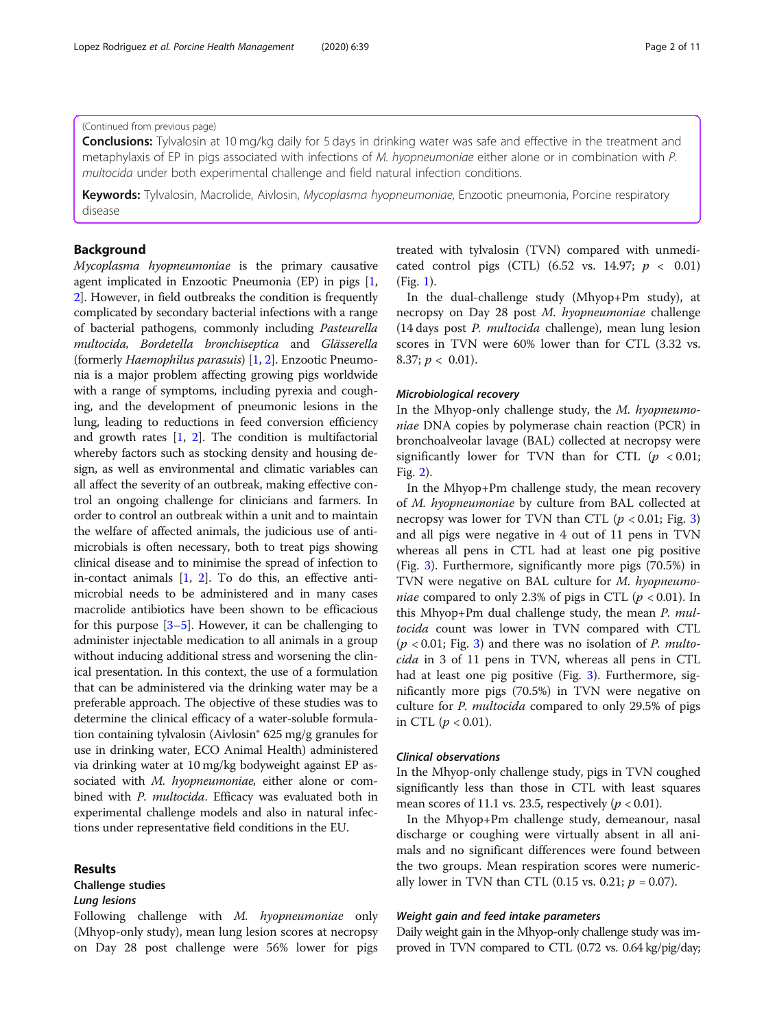#### (Continued from previous page)

**Conclusions:** Tylvalosin at 10 mg/kg daily for 5 days in drinking water was safe and effective in the treatment and metaphylaxis of EP in pigs associated with infections of M. hyopneumoniae either alone or in combination with P. multocida under both experimental challenge and field natural infection conditions.

Keywords: Tylvalosin, Macrolide, Aivlosin, Mycoplasma hyopneumoniae, Enzootic pneumonia, Porcine respiratory disease

## Background

Mycoplasma hyopneumoniae is the primary causative agent implicated in Enzootic Pneumonia (EP) in pigs [[1](#page-9-0), [2\]](#page-9-0). However, in field outbreaks the condition is frequently complicated by secondary bacterial infections with a range of bacterial pathogens, commonly including Pasteurella multocida, Bordetella bronchiseptica and Glässerella (formerly Haemophilus parasuis) [\[1](#page-9-0), [2](#page-9-0)]. Enzootic Pneumonia is a major problem affecting growing pigs worldwide with a range of symptoms, including pyrexia and coughing, and the development of pneumonic lesions in the lung, leading to reductions in feed conversion efficiency and growth rates  $[1, 2]$  $[1, 2]$  $[1, 2]$  $[1, 2]$ . The condition is multifactorial whereby factors such as stocking density and housing design, as well as environmental and climatic variables can all affect the severity of an outbreak, making effective control an ongoing challenge for clinicians and farmers. In order to control an outbreak within a unit and to maintain the welfare of affected animals, the judicious use of antimicrobials is often necessary, both to treat pigs showing clinical disease and to minimise the spread of infection to in-contact animals [[1,](#page-9-0) [2](#page-9-0)]. To do this, an effective antimicrobial needs to be administered and in many cases macrolide antibiotics have been shown to be efficacious for this purpose [\[3](#page-9-0)–[5\]](#page-9-0). However, it can be challenging to administer injectable medication to all animals in a group without inducing additional stress and worsening the clinical presentation. In this context, the use of a formulation that can be administered via the drinking water may be a preferable approach. The objective of these studies was to determine the clinical efficacy of a water-soluble formulation containing tylvalosin (Aivlosin® 625 mg/g granules for use in drinking water, ECO Animal Health) administered via drinking water at 10 mg/kg bodyweight against EP associated with M. hyopneumoniae, either alone or combined with P. multocida. Efficacy was evaluated both in experimental challenge models and also in natural infections under representative field conditions in the EU.

#### Results

## Challenge studies

Lung lesions

Lopez Rodriguez et al. Porcine Health Management (2020) 6:39 Page 2 of 11

Following challenge with M. hyopneumoniae only (Mhyop-only study), mean lung lesion scores at necropsy on Day 28 post challenge were 56% lower for pigs

treated with tylvalosin (TVN) compared with unmedicated control pigs (CTL) (6.52 vs. 14.97;  $p < 0.01$ ) (Fig. [1](#page-2-0)).

In the dual-challenge study (Mhyop+Pm study), at necropsy on Day 28 post M. hyopneumoniae challenge (14 days post P. multocida challenge), mean lung lesion scores in TVN were 60% lower than for CTL (3.32 vs. 8.37;  $p < 0.01$ ).

## Microbiological recovery

In the Mhyop-only challenge study, the M. hyopneumoniae DNA copies by polymerase chain reaction (PCR) in bronchoalveolar lavage (BAL) collected at necropsy were significantly lower for TVN than for CTL ( $p < 0.01$ ; Fig. [2](#page-3-0)).

In the Mhyop+Pm challenge study, the mean recovery of M. hyopneumoniae by culture from BAL collected at necropsy was lower for TVN than CTL  $(p < 0.01;$  Fig. [3](#page-3-0)) and all pigs were negative in 4 out of 11 pens in TVN whereas all pens in CTL had at least one pig positive (Fig. [3](#page-3-0)). Furthermore, significantly more pigs (70.5%) in TVN were negative on BAL culture for M. hyopneumoniae compared to only 2.3% of pigs in CTL ( $p < 0.01$ ). In this Mhyop+Pm dual challenge study, the mean P. multocida count was lower in TVN compared with CTL  $(p < 0.01$ ; Fig. [3\)](#page-3-0) and there was no isolation of *P. multo*cida in 3 of 11 pens in TVN, whereas all pens in CTL had at least one pig positive (Fig. [3](#page-3-0)). Furthermore, significantly more pigs (70.5%) in TVN were negative on culture for P. multocida compared to only 29.5% of pigs in CTL  $(p < 0.01)$ .

## Clinical observations

In the Mhyop-only challenge study, pigs in TVN coughed significantly less than those in CTL with least squares mean scores of 11.1 vs. 23.5, respectively ( $p < 0.01$ ).

In the Mhyop+Pm challenge study, demeanour, nasal discharge or coughing were virtually absent in all animals and no significant differences were found between the two groups. Mean respiration scores were numerically lower in TVN than CTL  $(0.15 \text{ vs. } 0.21; p = 0.07)$ .

#### Weight gain and feed intake parameters

Daily weight gain in the Mhyop-only challenge study was improved in TVN compared to CTL (0.72 vs. 0.64 kg/pig/day;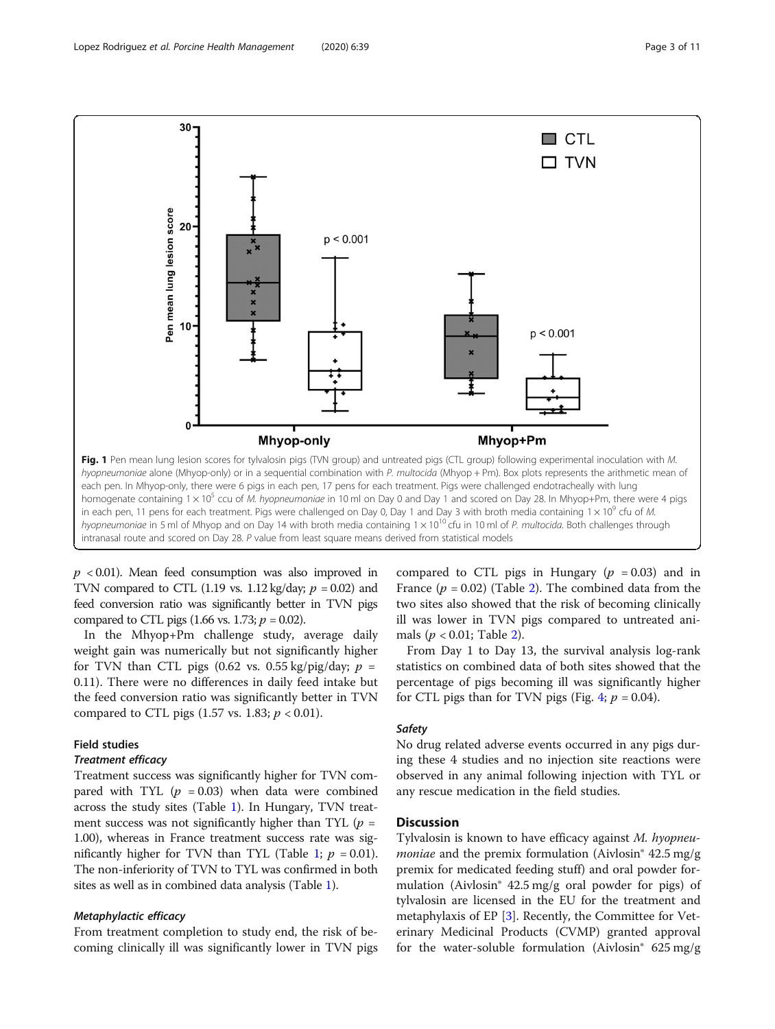<span id="page-2-0"></span>

 $p < 0.01$ ). Mean feed consumption was also improved in TVN compared to CTL (1.19 vs. 1.12 kg/day;  $p = 0.02$ ) and feed conversion ratio was significantly better in TVN pigs compared to CTL pigs (1.66 vs. 1.73;  $p = 0.02$ ).

In the Mhyop+Pm challenge study, average daily weight gain was numerically but not significantly higher for TVN than CTL pigs (0.62 vs. 0.55 kg/pig/day;  $p =$ 0.11). There were no differences in daily feed intake but the feed conversion ratio was significantly better in TVN compared to CTL pigs  $(1.57 \text{ vs. } 1.83; p < 0.01)$ .

## Field studies

#### Treatment efficacy

Treatment success was significantly higher for TVN compared with TYL ( $p = 0.03$ ) when data were combined across the study sites (Table [1](#page-4-0)). In Hungary, TVN treatment success was not significantly higher than TYL  $(p =$ 1.00), whereas in France treatment success rate was sig-nificantly higher for TVN than TYL (Table [1;](#page-4-0)  $p = 0.01$ ). The non-inferiority of TVN to TYL was confirmed in both sites as well as in combined data analysis (Table [1](#page-4-0)).

### Metaphylactic efficacy

From treatment completion to study end, the risk of becoming clinically ill was significantly lower in TVN pigs

compared to CTL pigs in Hungary ( $p = 0.03$ ) and in France  $(p = 0.02)$  $(p = 0.02)$  $(p = 0.02)$  (Table 2). The combined data from the two sites also showed that the risk of becoming clinically ill was lower in TVN pigs compared to untreated animals ( $p < 0.01$ ; Table [2\)](#page-4-0).

From Day 1 to Day 13, the survival analysis log-rank statistics on combined data of both sites showed that the percentage of pigs becoming ill was significantly higher for CTL pigs than for TVN pigs (Fig. [4](#page-4-0);  $p = 0.04$ ).

#### Safety

No drug related adverse events occurred in any pigs during these 4 studies and no injection site reactions were observed in any animal following injection with TYL or any rescue medication in the field studies.

## **Discussion**

Tylvalosin is known to have efficacy against M. hyopneu*moniae* and the premix formulation (Aivlosin<sup>®</sup> 42.5 mg/g premix for medicated feeding stuff) and oral powder formulation (Aivlosin® 42.5 mg/g oral powder for pigs) of tylvalosin are licensed in the EU for the treatment and metaphylaxis of EP [[3\]](#page-9-0). Recently, the Committee for Veterinary Medicinal Products (CVMP) granted approval for the water-soluble formulation (Aivlosin $\degree$  625 mg/g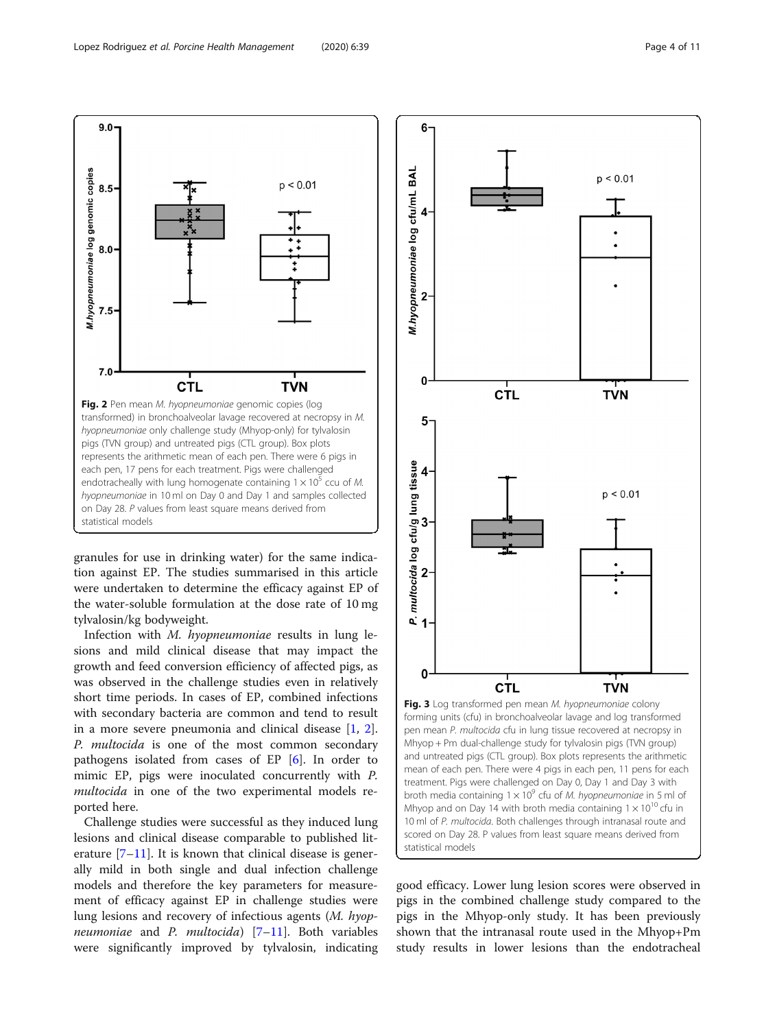<span id="page-3-0"></span>

granules for use in drinking water) for the same indication against EP. The studies summarised in this article were undertaken to determine the efficacy against EP of the water-soluble formulation at the dose rate of 10 mg tylvalosin/kg bodyweight.

Infection with M. hyopneumoniae results in lung lesions and mild clinical disease that may impact the growth and feed conversion efficiency of affected pigs, as was observed in the challenge studies even in relatively short time periods. In cases of EP, combined infections with secondary bacteria are common and tend to result in a more severe pneumonia and clinical disease [\[1](#page-9-0), [2](#page-9-0)]. P. multocida is one of the most common secondary pathogens isolated from cases of EP [[6\]](#page-10-0). In order to mimic EP, pigs were inoculated concurrently with P. multocida in one of the two experimental models reported here.

Challenge studies were successful as they induced lung lesions and clinical disease comparable to published literature  $[7-11]$  $[7-11]$  $[7-11]$ . It is known that clinical disease is generally mild in both single and dual infection challenge models and therefore the key parameters for measurement of efficacy against EP in challenge studies were lung lesions and recovery of infectious agents (M. hyop*neumoniae* and *P. multocida*)  $[7-11]$  $[7-11]$  $[7-11]$ . Both variables were significantly improved by tylvalosin, indicating



good efficacy. Lower lung lesion scores were observed in pigs in the combined challenge study compared to the pigs in the Mhyop-only study. It has been previously shown that the intranasal route used in the Mhyop+Pm study results in lower lesions than the endotracheal

10 ml of P. multocida. Both challenges through intranasal route and scored on Day 28. P values from least square means derived from

statistical models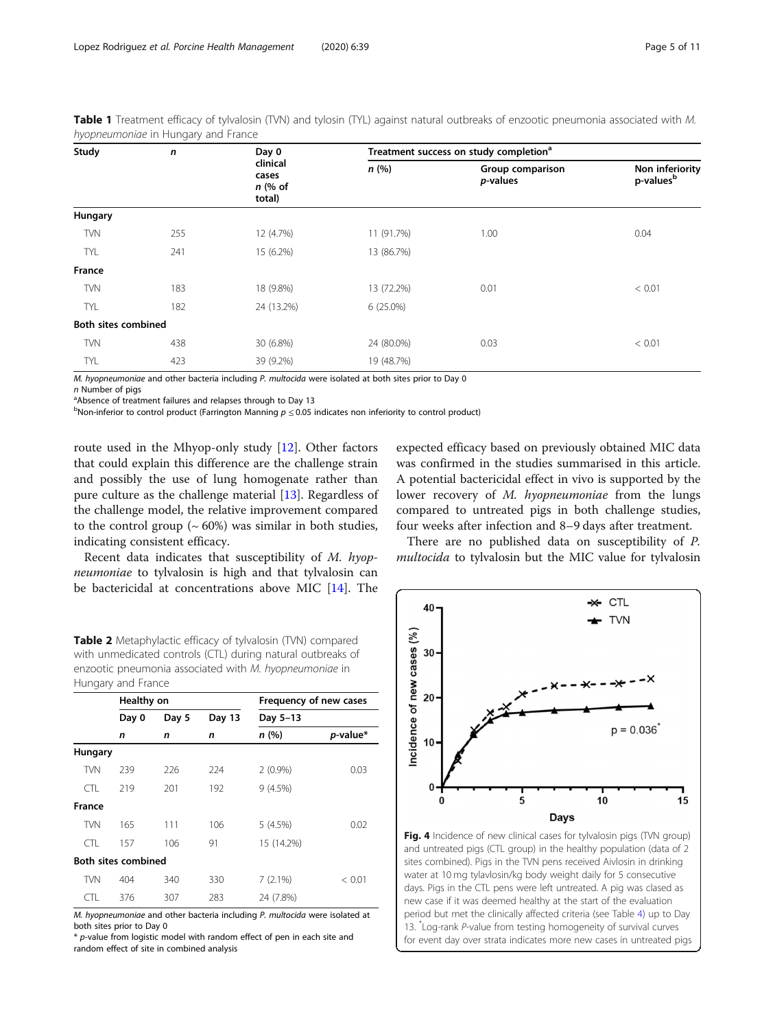<span id="page-4-0"></span>Table 1 Treatment efficacy of tylvalosin (TVN) and tylosin (TYL) against natural outbreaks of enzootic pneumonia associated with M. hyopneumoniae in Hungary and France

| Study                      | n   | Day 0                                  | Treatment success on study completion <sup>a</sup> |                                      |                                          |  |  |
|----------------------------|-----|----------------------------------------|----------------------------------------------------|--------------------------------------|------------------------------------------|--|--|
|                            |     | clinical<br>cases<br>n (% of<br>total) | n(%)                                               | Group comparison<br><i>p</i> -values | Non inferiority<br>p-values <sup>b</sup> |  |  |
| Hungary                    |     |                                        |                                                    |                                      |                                          |  |  |
| <b>TVN</b>                 | 255 | 12 (4.7%)                              | 11 (91.7%)                                         | 1.00                                 | 0.04                                     |  |  |
| <b>TYL</b>                 | 241 | 15 (6.2%)                              | 13 (86.7%)                                         |                                      |                                          |  |  |
| France                     |     |                                        |                                                    |                                      |                                          |  |  |
| <b>TVN</b>                 | 183 | 18 (9.8%)                              | 13 (72.2%)                                         | 0.01                                 | < 0.01                                   |  |  |
| <b>TYL</b>                 | 182 | 24 (13.2%)                             | $6(25.0\%)$                                        |                                      |                                          |  |  |
| <b>Both sites combined</b> |     |                                        |                                                    |                                      |                                          |  |  |
| <b>TVN</b>                 | 438 | 30 (6.8%)                              | 24 (80.0%)                                         | 0.03                                 | < 0.01                                   |  |  |
| <b>TYL</b>                 | 423 | 39 (9.2%)                              | 19 (48.7%)                                         |                                      |                                          |  |  |

M. hyopneumoniae and other bacteria including P. multocida were isolated at both sites prior to Day 0

 $n$  Number of pigs

<sup>a</sup> Absence of treatment failures and relapses through to Day 13

bNon-inferior to control product (Farrington Manning  $p \leq 0.05$  indicates non inferiority to control product)

route used in the Mhyop-only study [\[12\]](#page-10-0). Other factors that could explain this difference are the challenge strain and possibly the use of lung homogenate rather than pure culture as the challenge material [\[13](#page-10-0)]. Regardless of the challenge model, the relative improvement compared to the control group ( $\sim 60\%$ ) was similar in both studies, indicating consistent efficacy.

Recent data indicates that susceptibility of M. hyopneumoniae to tylvalosin is high and that tylvalosin can be bactericidal at concentrations above MIC [\[14](#page-10-0)]. The

Table 2 Metaphylactic efficacy of tylvalosin (TVN) compared with unmedicated controls (CTL) during natural outbreaks of enzootic pneumonia associated with M. hyopneumoniae in Hungary and France

|                            | Healthy on |       |        | Frequency of new cases |          |  |  |  |
|----------------------------|------------|-------|--------|------------------------|----------|--|--|--|
|                            | Day 0      | Day 5 | Day 13 | Day 5-13               |          |  |  |  |
|                            | n          | n     | n      | n (%)                  | p-value* |  |  |  |
| <b>Hungary</b>             |            |       |        |                        |          |  |  |  |
| <b>TVN</b>                 | 239        | 226   | 224    | $2(0.9\%)$             | 0.03     |  |  |  |
| CTI.                       | 219        | 201   | 192    | 9(4.5%)                |          |  |  |  |
| <b>France</b>              |            |       |        |                        |          |  |  |  |
| <b>TVN</b>                 | 165        | 111   | 106    | 5(4.5%)                | 0.02     |  |  |  |
| CTI.                       | 157        | 106   | 91     | 15 (14.2%)             |          |  |  |  |
| <b>Both sites combined</b> |            |       |        |                        |          |  |  |  |
| <b>TVN</b>                 | 404        | 340   | 330    | 7(2.1%)                | < 0.01   |  |  |  |
| CTL                        | 376        | 307   | 283    | 24 (7.8%)              |          |  |  |  |

M. hyopneumoniae and other bacteria including P. multocida were isolated at both sites prior to Day 0

\* p-value from logistic model with random effect of pen in each site and random effect of site in combined analysis

expected efficacy based on previously obtained MIC data was confirmed in the studies summarised in this article. A potential bactericidal effect in vivo is supported by the lower recovery of M. hyopneumoniae from the lungs compared to untreated pigs in both challenge studies, four weeks after infection and 8–9 days after treatment.

There are no published data on susceptibility of P. multocida to tylvalosin but the MIC value for tylvalosin



Fig. 4 Incidence of new clinical cases for tylvalosin pigs (TVN group) and untreated pigs (CTL group) in the healthy population (data of 2 sites combined). Pigs in the TVN pens received Aivlosin in drinking water at 10 mg tylavlosin/kg body weight daily for 5 consecutive days. Pigs in the CTL pens were left untreated. A pig was clased as new case if it was deemed healthy at the start of the evaluation period but met the clinically affected criteria (see Table [4\)](#page-7-0) up to Day 13. \* Log-rank P-value from testing homogeneity of survival curves for event day over strata indicates more new cases in untreated pigs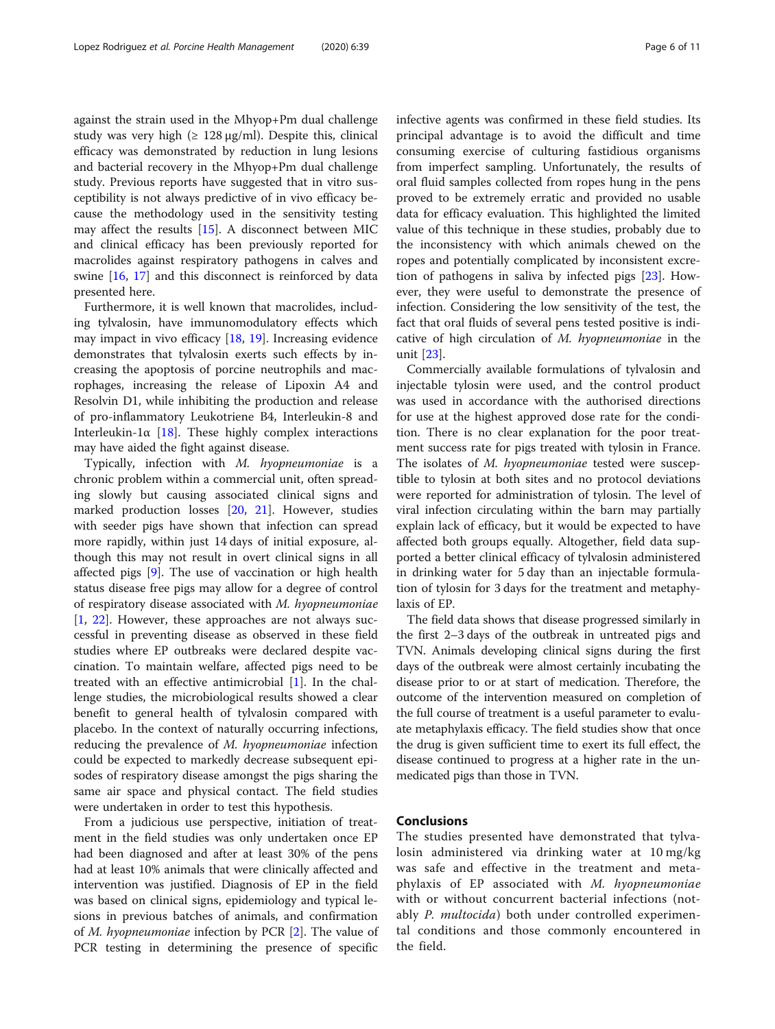against the strain used in the Mhyop+Pm dual challenge study was very high ( $\geq 128 \mu g/ml$ ). Despite this, clinical efficacy was demonstrated by reduction in lung lesions and bacterial recovery in the Mhyop+Pm dual challenge study. Previous reports have suggested that in vitro susceptibility is not always predictive of in vivo efficacy because the methodology used in the sensitivity testing may affect the results [\[15\]](#page-10-0). A disconnect between MIC and clinical efficacy has been previously reported for macrolides against respiratory pathogens in calves and swine [[16](#page-10-0), [17](#page-10-0)] and this disconnect is reinforced by data presented here.

Furthermore, it is well known that macrolides, including tylvalosin, have immunomodulatory effects which may impact in vivo efficacy [\[18](#page-10-0), [19](#page-10-0)]. Increasing evidence demonstrates that tylvalosin exerts such effects by increasing the apoptosis of porcine neutrophils and macrophages, increasing the release of Lipoxin A4 and Resolvin D1, while inhibiting the production and release of pro-inflammatory Leukotriene B4, Interleukin-8 and Interleukin-1 $\alpha$  [[18\]](#page-10-0). These highly complex interactions may have aided the fight against disease.

Typically, infection with M. hyopneumoniae is a chronic problem within a commercial unit, often spreading slowly but causing associated clinical signs and marked production losses [[20,](#page-10-0) [21\]](#page-10-0). However, studies with seeder pigs have shown that infection can spread more rapidly, within just 14 days of initial exposure, although this may not result in overt clinical signs in all affected pigs [[9\]](#page-10-0). The use of vaccination or high health status disease free pigs may allow for a degree of control of respiratory disease associated with M. hyopneumoniae  $[1, 22]$  $[1, 22]$  $[1, 22]$  $[1, 22]$ . However, these approaches are not always successful in preventing disease as observed in these field studies where EP outbreaks were declared despite vaccination. To maintain welfare, affected pigs need to be treated with an effective antimicrobial  $[1]$  $[1]$ . In the challenge studies, the microbiological results showed a clear benefit to general health of tylvalosin compared with placebo. In the context of naturally occurring infections, reducing the prevalence of M. hyopneumoniae infection could be expected to markedly decrease subsequent episodes of respiratory disease amongst the pigs sharing the same air space and physical contact. The field studies were undertaken in order to test this hypothesis.

From a judicious use perspective, initiation of treatment in the field studies was only undertaken once EP had been diagnosed and after at least 30% of the pens had at least 10% animals that were clinically affected and intervention was justified. Diagnosis of EP in the field was based on clinical signs, epidemiology and typical lesions in previous batches of animals, and confirmation of M. hyopneumoniae infection by PCR [\[2](#page-9-0)]. The value of PCR testing in determining the presence of specific infective agents was confirmed in these field studies. Its principal advantage is to avoid the difficult and time consuming exercise of culturing fastidious organisms from imperfect sampling. Unfortunately, the results of oral fluid samples collected from ropes hung in the pens proved to be extremely erratic and provided no usable data for efficacy evaluation. This highlighted the limited value of this technique in these studies, probably due to the inconsistency with which animals chewed on the ropes and potentially complicated by inconsistent excretion of pathogens in saliva by infected pigs [\[23\]](#page-10-0). However, they were useful to demonstrate the presence of infection. Considering the low sensitivity of the test, the fact that oral fluids of several pens tested positive is indicative of high circulation of M. hyopneumoniae in the unit [\[23](#page-10-0)].

Commercially available formulations of tylvalosin and injectable tylosin were used, and the control product was used in accordance with the authorised directions for use at the highest approved dose rate for the condition. There is no clear explanation for the poor treatment success rate for pigs treated with tylosin in France. The isolates of M. hyopneumoniae tested were susceptible to tylosin at both sites and no protocol deviations were reported for administration of tylosin. The level of viral infection circulating within the barn may partially explain lack of efficacy, but it would be expected to have affected both groups equally. Altogether, field data supported a better clinical efficacy of tylvalosin administered in drinking water for 5 day than an injectable formulation of tylosin for 3 days for the treatment and metaphylaxis of EP.

The field data shows that disease progressed similarly in the first 2–3 days of the outbreak in untreated pigs and TVN. Animals developing clinical signs during the first days of the outbreak were almost certainly incubating the disease prior to or at start of medication. Therefore, the outcome of the intervention measured on completion of the full course of treatment is a useful parameter to evaluate metaphylaxis efficacy. The field studies show that once the drug is given sufficient time to exert its full effect, the disease continued to progress at a higher rate in the unmedicated pigs than those in TVN.

## Conclusions

The studies presented have demonstrated that tylvalosin administered via drinking water at 10 mg/kg was safe and effective in the treatment and metaphylaxis of EP associated with M. hyopneumoniae with or without concurrent bacterial infections (notably P. multocida) both under controlled experimental conditions and those commonly encountered in the field.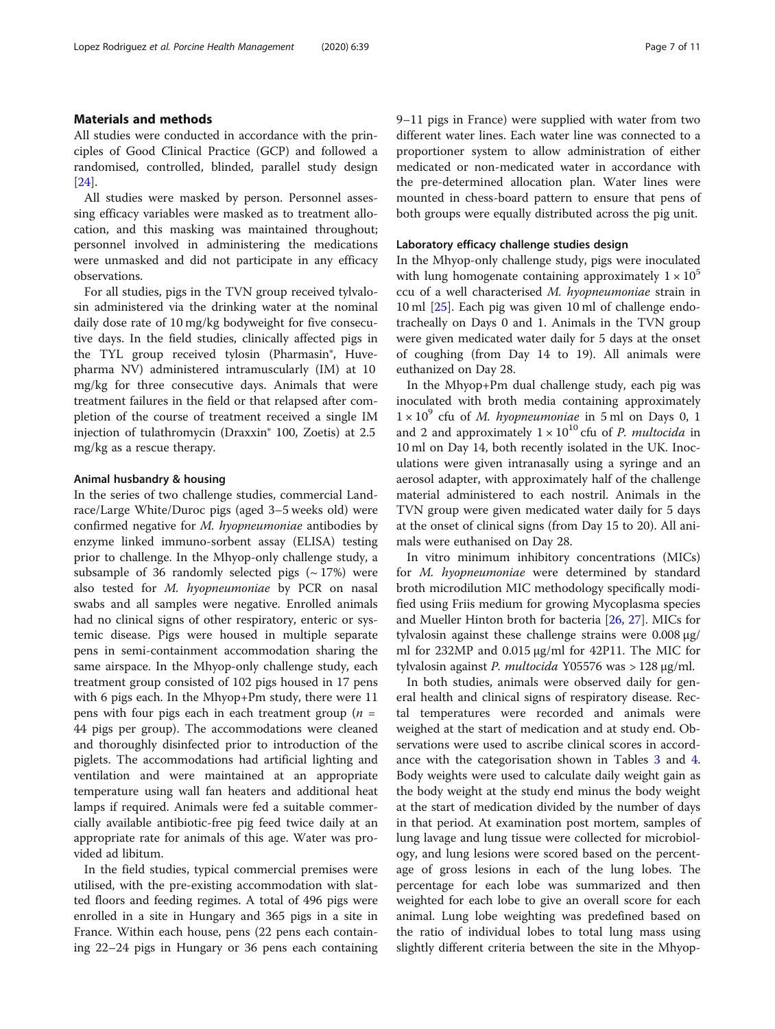## Materials and methods

All studies were conducted in accordance with the principles of Good Clinical Practice (GCP) and followed a randomised, controlled, blinded, parallel study design [[24\]](#page-10-0).

All studies were masked by person. Personnel assessing efficacy variables were masked as to treatment allocation, and this masking was maintained throughout; personnel involved in administering the medications were unmasked and did not participate in any efficacy observations.

For all studies, pigs in the TVN group received tylvalosin administered via the drinking water at the nominal daily dose rate of 10 mg/kg bodyweight for five consecutive days. In the field studies, clinically affected pigs in the TYL group received tylosin (Pharmasin®, Huvepharma NV) administered intramuscularly (IM) at 10 mg/kg for three consecutive days. Animals that were treatment failures in the field or that relapsed after completion of the course of treatment received a single IM injection of tulathromycin (Draxxin® 100, Zoetis) at 2.5 mg/kg as a rescue therapy.

#### Animal husbandry & housing

In the series of two challenge studies, commercial Landrace/Large White/Duroc pigs (aged 3–5 weeks old) were confirmed negative for M. hyopneumoniae antibodies by enzyme linked immuno-sorbent assay (ELISA) testing prior to challenge. In the Mhyop-only challenge study, a subsample of 36 randomly selected pigs  $({\sim}17%)$  were also tested for M. hyopneumoniae by PCR on nasal swabs and all samples were negative. Enrolled animals had no clinical signs of other respiratory, enteric or systemic disease. Pigs were housed in multiple separate pens in semi-containment accommodation sharing the same airspace. In the Mhyop-only challenge study, each treatment group consisted of 102 pigs housed in 17 pens with 6 pigs each. In the Mhyop+Pm study, there were 11 pens with four pigs each in each treatment group  $(n =$ 44 pigs per group). The accommodations were cleaned and thoroughly disinfected prior to introduction of the piglets. The accommodations had artificial lighting and ventilation and were maintained at an appropriate temperature using wall fan heaters and additional heat lamps if required. Animals were fed a suitable commercially available antibiotic-free pig feed twice daily at an appropriate rate for animals of this age. Water was provided ad libitum.

In the field studies, typical commercial premises were utilised, with the pre-existing accommodation with slatted floors and feeding regimes. A total of 496 pigs were enrolled in a site in Hungary and 365 pigs in a site in France. Within each house, pens (22 pens each containing 22–24 pigs in Hungary or 36 pens each containing 9–11 pigs in France) were supplied with water from two different water lines. Each water line was connected to a proportioner system to allow administration of either medicated or non-medicated water in accordance with the pre-determined allocation plan. Water lines were mounted in chess-board pattern to ensure that pens of both groups were equally distributed across the pig unit.

#### Laboratory efficacy challenge studies design

In the Mhyop-only challenge study, pigs were inoculated with lung homogenate containing approximately  $1 \times 10^5$ ccu of a well characterised M. hyopneumoniae strain in 10 ml [[25\]](#page-10-0). Each pig was given 10 ml of challenge endotracheally on Days 0 and 1. Animals in the TVN group were given medicated water daily for 5 days at the onset of coughing (from Day 14 to 19). All animals were euthanized on Day 28.

In the Mhyop+Pm dual challenge study, each pig was inoculated with broth media containing approximately  $1 \times 10^9$  cfu of M. hyopneumoniae in 5 ml on Days 0, 1 and 2 and approximately  $1 \times 10^{10}$  cfu of *P. multocida* in 10 ml on Day 14, both recently isolated in the UK. Inoculations were given intranasally using a syringe and an aerosol adapter, with approximately half of the challenge material administered to each nostril. Animals in the TVN group were given medicated water daily for 5 days at the onset of clinical signs (from Day 15 to 20). All animals were euthanised on Day 28.

In vitro minimum inhibitory concentrations (MICs) for M. hyopneumoniae were determined by standard broth microdilution MIC methodology specifically modified using Friis medium for growing Mycoplasma species and Mueller Hinton broth for bacteria [\[26,](#page-10-0) [27\]](#page-10-0). MICs for tylvalosin against these challenge strains were 0.008 μg/ ml for 232MP and 0.015 μg/ml for 42P11. The MIC for tylvalosin against P. multocida Y05576 was > 128 μg/ml.

In both studies, animals were observed daily for general health and clinical signs of respiratory disease. Rectal temperatures were recorded and animals were weighed at the start of medication and at study end. Observations were used to ascribe clinical scores in accordance with the categorisation shown in Tables [3](#page-7-0) and [4](#page-7-0). Body weights were used to calculate daily weight gain as the body weight at the study end minus the body weight at the start of medication divided by the number of days in that period. At examination post mortem, samples of lung lavage and lung tissue were collected for microbiology, and lung lesions were scored based on the percentage of gross lesions in each of the lung lobes. The percentage for each lobe was summarized and then weighted for each lobe to give an overall score for each animal. Lung lobe weighting was predefined based on the ratio of individual lobes to total lung mass using slightly different criteria between the site in the Mhyop-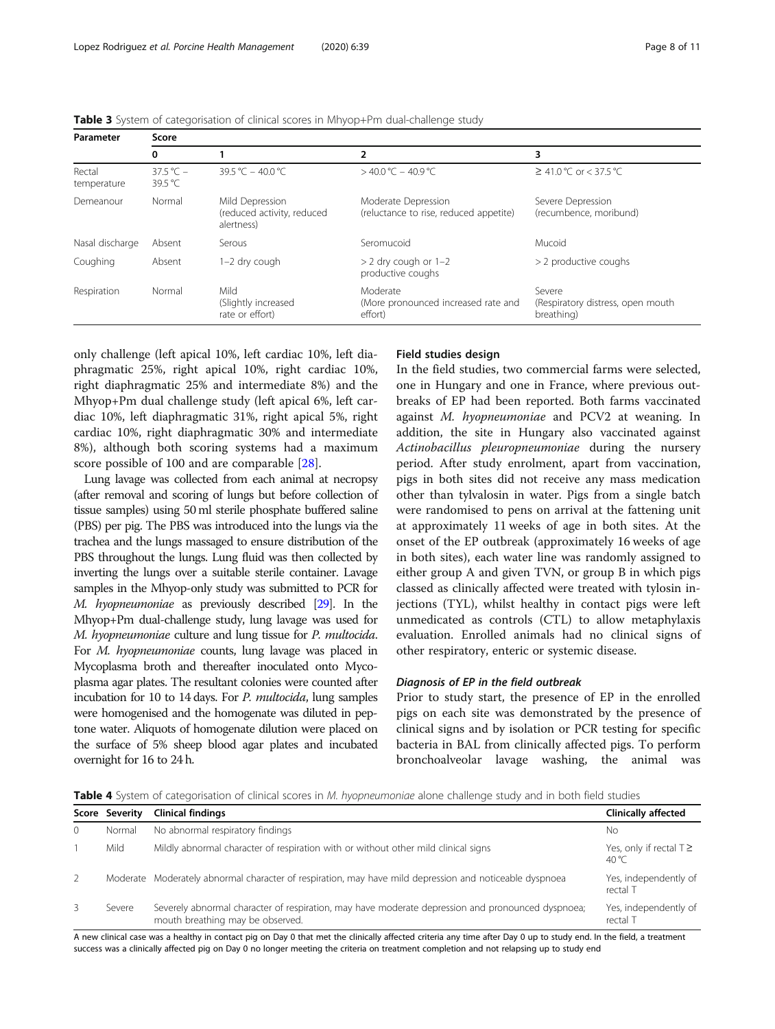| Parameter             | Score                  |                                                             |                                                               |                                                           |  |  |  |
|-----------------------|------------------------|-------------------------------------------------------------|---------------------------------------------------------------|-----------------------------------------------------------|--|--|--|
|                       | 0                      |                                                             | $\overline{2}$                                                | 3                                                         |  |  |  |
| Rectal<br>temperature | $37.5 °C -$<br>39.5 °C | $39.5 °C - 40.0 °C$                                         | $>$ 40.0 °C = 40.9 °C                                         | $\geq$ 41.0 °C or < 37.5 °C                               |  |  |  |
| Demeanour             | Normal                 | Mild Depression<br>(reduced activity, reduced<br>alertness) | Moderate Depression<br>(reluctance to rise, reduced appetite) | Severe Depression<br>(recumbence, moribund)               |  |  |  |
| Nasal discharge       | Absent                 | Serous                                                      | Seromucoid                                                    | Mucoid                                                    |  |  |  |
| Coughing              | Absent                 | $1-2$ dry cough                                             | $>$ 2 dry cough or 1–2<br>productive coughs                   | > 2 productive coughs                                     |  |  |  |
| Respiration           | Normal                 | Mild<br>(Slightly increased<br>rate or effort)              | Moderate<br>(More pronounced increased rate and<br>effort)    | Severe<br>(Respiratory distress, open mouth<br>breathing) |  |  |  |

<span id="page-7-0"></span>**Table 3** System of categorisation of clinical scores in Mhyop+Pm dual-challenge study

only challenge (left apical 10%, left cardiac 10%, left diaphragmatic 25%, right apical 10%, right cardiac 10%, right diaphragmatic 25% and intermediate 8%) and the Mhyop+Pm dual challenge study (left apical 6%, left cardiac 10%, left diaphragmatic 31%, right apical 5%, right cardiac 10%, right diaphragmatic 30% and intermediate 8%), although both scoring systems had a maximum score possible of 100 and are comparable [[28\]](#page-10-0).

Lung lavage was collected from each animal at necropsy (after removal and scoring of lungs but before collection of tissue samples) using 50 ml sterile phosphate buffered saline (PBS) per pig. The PBS was introduced into the lungs via the trachea and the lungs massaged to ensure distribution of the PBS throughout the lungs. Lung fluid was then collected by inverting the lungs over a suitable sterile container. Lavage samples in the Mhyop-only study was submitted to PCR for M. hyopneumoniae as previously described [\[29\]](#page-10-0). In the Mhyop+Pm dual-challenge study, lung lavage was used for M. hyopneumoniae culture and lung tissue for P. multocida. For M. hyopneumoniae counts, lung lavage was placed in Mycoplasma broth and thereafter inoculated onto Mycoplasma agar plates. The resultant colonies were counted after incubation for 10 to 14 days. For P. multocida, lung samples were homogenised and the homogenate was diluted in peptone water. Aliquots of homogenate dilution were placed on the surface of 5% sheep blood agar plates and incubated overnight for 16 to 24 h.

## Field studies design

In the field studies, two commercial farms were selected, one in Hungary and one in France, where previous outbreaks of EP had been reported. Both farms vaccinated against M. hyopneumoniae and PCV2 at weaning. In addition, the site in Hungary also vaccinated against Actinobacillus pleuropneumoniae during the nursery period. After study enrolment, apart from vaccination, pigs in both sites did not receive any mass medication other than tylvalosin in water. Pigs from a single batch were randomised to pens on arrival at the fattening unit at approximately 11 weeks of age in both sites. At the onset of the EP outbreak (approximately 16 weeks of age in both sites), each water line was randomly assigned to either group A and given TVN, or group B in which pigs classed as clinically affected were treated with tylosin injections (TYL), whilst healthy in contact pigs were left unmedicated as controls (CTL) to allow metaphylaxis evaluation. Enrolled animals had no clinical signs of other respiratory, enteric or systemic disease.

## Diagnosis of EP in the field outbreak

Prior to study start, the presence of EP in the enrolled pigs on each site was demonstrated by the presence of clinical signs and by isolation or PCR testing for specific bacteria in BAL from clinically affected pigs. To perform bronchoalveolar lavage washing, the animal was

Table 4 System of categorisation of clinical scores in M. hyopneumoniae alone challenge study and in both field studies

|               | Score Severity | <b>Clinical findings</b>                                                                                                              | <b>Clinically affected</b>            |
|---------------|----------------|---------------------------------------------------------------------------------------------------------------------------------------|---------------------------------------|
| $\Omega$      | Normal         | No abnormal respiratory findings                                                                                                      | No                                    |
|               | Mild           | Mildly abnormal character of respiration with or without other mild clinical signs                                                    | Yes, only if rectal $T \geq$<br>40 °C |
| $\mathcal{L}$ |                | Moderate Moderately abnormal character of respiration, may have mild depression and noticeable dyspnoea                               | Yes, independently of<br>rectal T     |
| 3             | Severe         | Severely abnormal character of respiration, may have moderate depression and pronounced dyspnoea;<br>mouth breathing may be observed. | Yes, independently of<br>rectal T     |

A new clinical case was a healthy in contact pig on Day 0 that met the clinically affected criteria any time after Day 0 up to study end. In the field, a treatment success was a clinically affected pig on Day 0 no longer meeting the criteria on treatment completion and not relapsing up to study end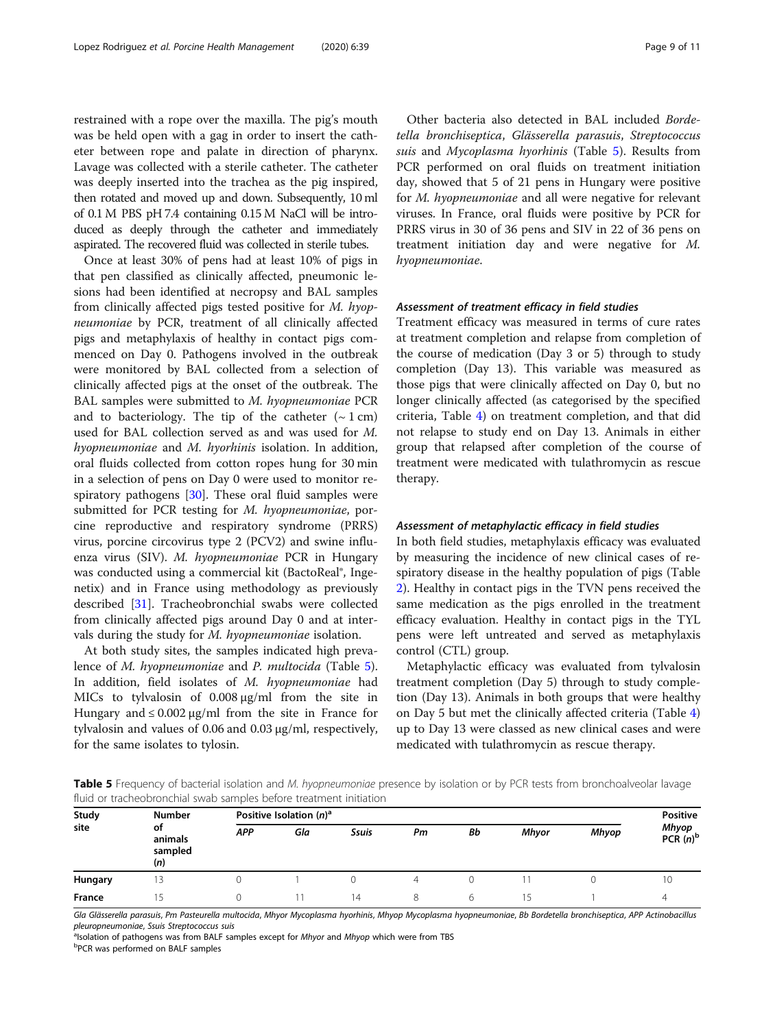restrained with a rope over the maxilla. The pig's mouth was be held open with a gag in order to insert the catheter between rope and palate in direction of pharynx. Lavage was collected with a sterile catheter. The catheter was deeply inserted into the trachea as the pig inspired, then rotated and moved up and down. Subsequently, 10 ml of 0.1 M PBS pH 7.4 containing 0.15 M NaCl will be introduced as deeply through the catheter and immediately aspirated. The recovered fluid was collected in sterile tubes.

Once at least 30% of pens had at least 10% of pigs in that pen classified as clinically affected, pneumonic lesions had been identified at necropsy and BAL samples from clinically affected pigs tested positive for M. hyopneumoniae by PCR, treatment of all clinically affected pigs and metaphylaxis of healthy in contact pigs commenced on Day 0. Pathogens involved in the outbreak were monitored by BAL collected from a selection of clinically affected pigs at the onset of the outbreak. The BAL samples were submitted to M. hyopneumoniae PCR and to bacteriology. The tip of the catheter  $({\sim}1 \text{ cm})$ used for BAL collection served as and was used for M. hyopneumoniae and M. hyorhinis isolation. In addition, oral fluids collected from cotton ropes hung for 30 min in a selection of pens on Day 0 were used to monitor respiratory pathogens [\[30](#page-10-0)]. These oral fluid samples were submitted for PCR testing for M. hyopneumoniae, porcine reproductive and respiratory syndrome (PRRS) virus, porcine circovirus type 2 (PCV2) and swine influenza virus (SIV). M. hyopneumoniae PCR in Hungary was conducted using a commercial kit (BactoReal<sup>®</sup>, Ingenetix) and in France using methodology as previously described [[31](#page-10-0)]. Tracheobronchial swabs were collected from clinically affected pigs around Day 0 and at intervals during the study for M. hyopneumoniae isolation.

At both study sites, the samples indicated high prevalence of M. hyopneumoniae and P. multocida (Table 5). In addition, field isolates of M. hyopneumoniae had MICs to tylvalosin of 0.008 μg/ml from the site in Hungary and  $\leq 0.002 \mu g/ml$  from the site in France for tylvalosin and values of 0.06 and 0.03 μg/ml, respectively, for the same isolates to tylosin.

Other bacteria also detected in BAL included Bordetella bronchiseptica, Glässerella parasuis, Streptococcus suis and Mycoplasma hyorhinis (Table 5). Results from PCR performed on oral fluids on treatment initiation day, showed that 5 of 21 pens in Hungary were positive for M. hyopneumoniae and all were negative for relevant viruses. In France, oral fluids were positive by PCR for PRRS virus in 30 of 36 pens and SIV in 22 of 36 pens on treatment initiation day and were negative for M. hyopneumoniae.

#### Assessment of treatment efficacy in field studies

Treatment efficacy was measured in terms of cure rates at treatment completion and relapse from completion of the course of medication (Day 3 or 5) through to study completion (Day 13). This variable was measured as those pigs that were clinically affected on Day 0, but no longer clinically affected (as categorised by the specified criteria, Table [4\)](#page-7-0) on treatment completion, and that did not relapse to study end on Day 13. Animals in either group that relapsed after completion of the course of treatment were medicated with tulathromycin as rescue therapy.

## Assessment of metaphylactic efficacy in field studies

In both field studies, metaphylaxis efficacy was evaluated by measuring the incidence of new clinical cases of respiratory disease in the healthy population of pigs (Table [2\)](#page-4-0). Healthy in contact pigs in the TVN pens received the same medication as the pigs enrolled in the treatment efficacy evaluation. Healthy in contact pigs in the TYL pens were left untreated and served as metaphylaxis control (CTL) group.

Metaphylactic efficacy was evaluated from tylvalosin treatment completion (Day 5) through to study completion (Day 13). Animals in both groups that were healthy on Day 5 but met the clinically affected criteria (Table [4](#page-7-0)) up to Day 13 were classed as new clinical cases and were medicated with tulathromycin as rescue therapy.

**Table 5** Frequency of bacterial isolation and M. hyopneumoniae presence by isolation or by PCR tests from bronchoalveolar lavage fluid or tracheobronchial swab samples before treatment initiation

| Study<br>site | <b>Number</b><br>οf<br>animals<br>sampled<br>(n) | Positive Isolation $(n)^a$ |     |              |    |    |              | <b>Positive</b> |                      |
|---------------|--------------------------------------------------|----------------------------|-----|--------------|----|----|--------------|-----------------|----------------------|
|               |                                                  | <b>APP</b>                 | Gla | <b>Ssuis</b> | Pm | Bb | <b>Mhyor</b> | Mhyop           | Mhyop<br>PCR $(n)^b$ |
| Hungary       | 13                                               |                            |     |              | 4  |    |              |                 | 10                   |
| France        |                                                  |                            |     | 14           |    | h  | 5            |                 | 4                    |

Gla Glässerella parasuis, Pm Pasteurella multocida, Mhyor Mycoplasma hyorhinis, Mhyop Mycoplasma hyopneumoniae, Bb Bordetella bronchiseptica, APP Actinobacillus pleuropneumoniae, Ssuis Streptococcus suis

<sup>a</sup>lsolation of pathogens was from BALF samples except for Mhyor and Mhyop which were from TBS

PCR was performed on BALF samples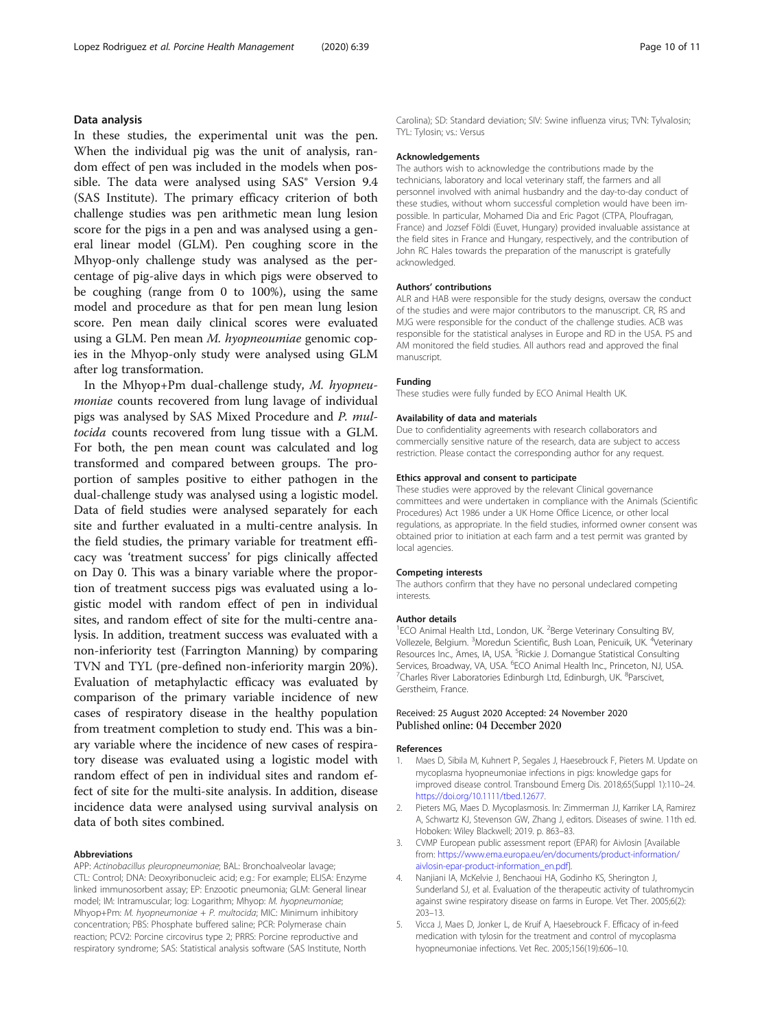## <span id="page-9-0"></span>Data analysis

In these studies, the experimental unit was the pen. When the individual pig was the unit of analysis, random effect of pen was included in the models when possible. The data were analysed using SAS® Version 9.4 (SAS Institute). The primary efficacy criterion of both challenge studies was pen arithmetic mean lung lesion score for the pigs in a pen and was analysed using a general linear model (GLM). Pen coughing score in the Mhyop-only challenge study was analysed as the percentage of pig-alive days in which pigs were observed to be coughing (range from 0 to 100%), using the same model and procedure as that for pen mean lung lesion score. Pen mean daily clinical scores were evaluated using a GLM. Pen mean M. hyopneoumiae genomic copies in the Mhyop-only study were analysed using GLM after log transformation.

In the Mhyop+Pm dual-challenge study,  $M$ . hyopneumoniae counts recovered from lung lavage of individual pigs was analysed by SAS Mixed Procedure and P. multocida counts recovered from lung tissue with a GLM. For both, the pen mean count was calculated and log transformed and compared between groups. The proportion of samples positive to either pathogen in the dual-challenge study was analysed using a logistic model. Data of field studies were analysed separately for each site and further evaluated in a multi-centre analysis. In the field studies, the primary variable for treatment efficacy was 'treatment success' for pigs clinically affected on Day 0. This was a binary variable where the proportion of treatment success pigs was evaluated using a logistic model with random effect of pen in individual sites, and random effect of site for the multi-centre analysis. In addition, treatment success was evaluated with a non-inferiority test (Farrington Manning) by comparing TVN and TYL (pre-defined non-inferiority margin 20%). Evaluation of metaphylactic efficacy was evaluated by comparison of the primary variable incidence of new cases of respiratory disease in the healthy population from treatment completion to study end. This was a binary variable where the incidence of new cases of respiratory disease was evaluated using a logistic model with random effect of pen in individual sites and random effect of site for the multi-site analysis. In addition, disease incidence data were analysed using survival analysis on data of both sites combined.

#### Abbreviations

APP: Actinobacillus pleuropneumoniae; BAL: Bronchoalveolar lavage; CTL: Control; DNA: Deoxyribonucleic acid; e.g.: For example; ELISA: Enzyme linked immunosorbent assay; EP: Enzootic pneumonia; GLM: General linear model; IM: Intramuscular; log: Logarithm; Mhyop: M. hyopneumoniae; Mhyop+Pm: M. hyopneumoniae + P. multocida; MIC: Minimum inhibitory concentration; PBS: Phosphate buffered saline; PCR: Polymerase chain reaction; PCV2: Porcine circovirus type 2; PRRS: Porcine reproductive and respiratory syndrome; SAS: Statistical analysis software (SAS Institute, North Carolina); SD: Standard deviation; SIV: Swine influenza virus; TVN: Tylvalosin; TYL: Tylosin; vs.: Versus

#### Acknowledgements

The authors wish to acknowledge the contributions made by the technicians, laboratory and local veterinary staff, the farmers and all personnel involved with animal husbandry and the day-to-day conduct of these studies, without whom successful completion would have been impossible. In particular, Mohamed Dia and Eric Pagot (CTPA, Ploufragan, France) and Jozsef Földi (Euvet, Hungary) provided invaluable assistance at the field sites in France and Hungary, respectively, and the contribution of John RC Hales towards the preparation of the manuscript is gratefully acknowledged.

#### Authors' contributions

ALR and HAB were responsible for the study designs, oversaw the conduct of the studies and were major contributors to the manuscript. CR, RS and MJG were responsible for the conduct of the challenge studies. ACB was responsible for the statistical analyses in Europe and RD in the USA. PS and AM monitored the field studies. All authors read and approved the final manuscript.

#### Funding

These studies were fully funded by ECO Animal Health UK.

#### Availability of data and materials

Due to confidentiality agreements with research collaborators and commercially sensitive nature of the research, data are subject to access restriction. Please contact the corresponding author for any request.

#### Ethics approval and consent to participate

These studies were approved by the relevant Clinical governance committees and were undertaken in compliance with the Animals (Scientific Procedures) Act 1986 under a UK Home Office Licence, or other local regulations, as appropriate. In the field studies, informed owner consent was obtained prior to initiation at each farm and a test permit was granted by local agencies.

#### Competing interests

The authors confirm that they have no personal undeclared competing interests.

#### Author details

<sup>1</sup>ECO Animal Health Ltd., London, UK. <sup>2</sup>Berge Veterinary Consulting BV Vollezele, Belgium. <sup>3</sup>Moredun Scientific, Bush Loan, Penicuik, UK. <sup>4</sup>Veterinary Resources Inc., Ames, IA, USA. <sup>5</sup>Rickie J. Domangue Statistical Consulting Services, Broadway, VA, USA. <sup>6</sup>ECO Animal Health Inc., Princeton, NJ, USA.<br><sup>7</sup>Charles Piver Laboratories Edinburgh Ltd. Edinburgh LIK. <sup>8</sup>Parscivet. Charles River Laboratories Edinburgh Ltd, Edinburgh, UK. <sup>8</sup>Parscivet Gerstheim, France.

#### Received: 25 August 2020 Accepted: 24 November 2020 Published online: 04 December 2020

#### References

- 1. Maes D, Sibila M, Kuhnert P, Segales J, Haesebrouck F, Pieters M. Update on mycoplasma hyopneumoniae infections in pigs: knowledge gaps for improved disease control. Transbound Emerg Dis. 2018;65(Suppl 1):110–24. <https://doi.org/10.1111/tbed.12677>.
- 2. Pieters MG, Maes D. Mycoplasmosis. In: Zimmerman JJ, Karriker LA, Ramirez A, Schwartz KJ, Stevenson GW, Zhang J, editors. Diseases of swine. 11th ed. Hoboken: Wiley Blackwell; 2019. p. 863–83.
- 3. CVMP European public assessment report (EPAR) for Aivlosin [Available from: [https://www.ema.europa.eu/en/documents/product-information/](https://www.ema.europa.eu/en/documents/product-information/aivlosin-epar-product-information_en.pdf) [aivlosin-epar-product-information\\_en.pdf\]](https://www.ema.europa.eu/en/documents/product-information/aivlosin-epar-product-information_en.pdf).
- 4. Nanjiani IA, McKelvie J, Benchaoui HA, Godinho KS, Sherington J, Sunderland SJ, et al. Evaluation of the therapeutic activity of tulathromycin against swine respiratory disease on farms in Europe. Vet Ther. 2005;6(2): 203–13.
- 5. Vicca J, Maes D, Jonker L, de Kruif A, Haesebrouck F. Efficacy of in-feed medication with tylosin for the treatment and control of mycoplasma hyopneumoniae infections. Vet Rec. 2005;156(19):606–10.